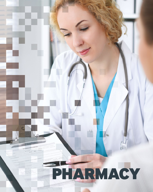# PHARMACY

**NAVIGATE, INNOVATE, INNOVATE, INNOVATE, INNOVATE, INNOVATE, INNOVATE, INNOVATE, INNOVATE, INNOVATE, INNOVATE, INNOVATE, INNOVATE, INNOVATE, INNOVATE, INNOVATE, INNOVATE, INNOVATE, INNOVATE, INNOVATE, INNOVATE, INNOVATE, I**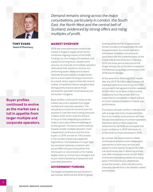

**TONY EVANS Head of Pharmacy**

**Buyer profiles continued to evolve as the market saw a lull in appetite from larger multiple and corporate operators.** *Demand remains strong across the major conurbations, particularly in London, the South East, the North West and the central belt of Scotland, evidenced by strong offers and rising multiples of profit.*

#### **MARKET OVERVIEW**

2018 saw more pharmacies come to the market in England, largely driven by the combined ongoing impacts of the DHSC funding cuts, the Category M clawback, and supply and pricing issues, despite some closures, as corporate and multiple operators rationalised their estates to remove nonperforming assets. Wales and Scotland, relatively few pharmacies changed hands due to a more stable funding environment. As a result, where opportunities did come to market, competitive interest was generated, driving premium prices above those achieved for equivalent pharmacies across the border in England.

Buyer profiles continued to evolve as the market saw a lull in appetite from larger multiple and corporate operators, This was partly as a result of concerns over the squeeze in cash flow that funding pressures created, whilst others took the decision to focus on fully integrating acquisitions made in prior years before embarking on further growth. This led to a shift in activity towards smaller multiple operators, more independent contractors and first-time buyers. In 2018, we saw an 11% increase in the number of pharmacy applicant registrations. The breakdown in buyer type has remained relatively consistent with around 80% of buyers being either firsttime buyers or new entrants to the market, largely made up of pharmacy managers and locums disenchanted by employment and associated pressures.

#### **GOVERNMENT FUNDING**

The largely anticipated announcement in late October 2018 that the 2018/19 global funding settlement for England would remain virtually unchanged was met with disappointment. As a result, operators anticipated increased cost pressures associated with the implementation of the Falsified Medicines Directive in February 2019, the three-pence reduction in the Single Activity Fee and further increases in the National Living Wage announced in the 2018 Autumn Budget.

At the same time, following a brief respite after the 2017/18 £180 million Category M clawback came to an end in July, the PSNC announced it had agreed a further clawback of £50 million to be taken in five monthly instalments from November 2019. It is hoped that its completion in March will put an end to clawbacks based on historic overperformance.

Purchasers will seek comfort in the fact that with average deal times of approximately four to six months, most pressure will have already been borne by incumbent operators. Optimistic about a more supportive settlement for 2019/20, we anticipate that buyer confidence in 2019 will remain at similar levels to those witnessed in 2018.

By contrast, the Governments in Wales and Scotland adopted more collaborative approaches to pharmacy services and appear to more openly recognise the vital role pharmacies play in delivering primary care. With the Governments of both Wales and Scotland providing additional funding early in the financial year, pharmacies across the borders, whilst not immune to pressures, benefit from a far steadier market environment.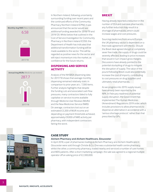



In Northern Ireland, following uncertainty surrounding funding over recent years and the continued efforts of the Community Pharmacy Northern Ireland (CPNI), it was announced that the sector would see additional funding awarded for 2018/19 and 2019/20. Whilst below that outlined in the Cost of Service Investigation for Community Pharmacy in Northern Ireland (COSI), the Department of Health has indicated that additional transformation funding will be made available to the sector. This will be regarded as positive news for the sector and will inject momentum into the market, as confidence for the future returns.

#### **DISPENSING AND SERVICE ACTIVITY**

Analysis of the NHSBSA dispensing data for 2017/18 shows that average monthly dispensing remained relatively static in comparison to prior years at c. 7,300 items. Further analysis highlights that despite the funding cuts and associated cash flow pressures, many contractors failed to fully capitalise on service income available through Medicine User Reviews (MURs) and the New Medicines Service (NMS). On average, contractors lost out on an estimated £3,200 of MUR income and depending on payment thresholds achieved, approximately £9,000 of NMS activity per pharmacy, with independent contractors fairing the worst.

#### **BREXIT**

Having already reported a reduction in the number of EEA and overseas pharmacists, any further reduction may result in a shortage of pharmacists, which could increase wages and cost pressures.

Sourcing medicines from around Europe, the UK pharmacy sector is dependent on a free trade agreement with the EU. Should the Brexit deal agreed disrupt or completely sever free trade, the supply of drugs could be severely affected, leading to price increases that would in turn impact gross margins. Discussions have already pointed to the potential stockpiling of drugs to mitigate the disruption of supply. The value of the pound following Brexit could also potentially increase the cost of imports, contributing to cost pressures on drug suppliers and ultimately retail pharmacies.

As we progress into 2019, supply issues have already been reported by the NPA. In February readiness of potential supply disruption, the Government has implemented The Human Medicines (Amendment) Regulations 2019 order, which includes provisions to allow pharmacists to dispense an alternative in accordance with a 'serious shortage protocol,' rather than that prescribed by GPs.



### **CASE STUDY**

#### **Alchem Pharmacy and Alchem Healthcare, Gloucester**

In April 2018, a pair of pharmacies trading as Alchem Pharmacy and Alchem Healthcare in Gloucester were sold through Christie & Co. One was a substantial health centre pharmacy, whilst the other, a community pharmacy, traded nearby and serviced a number of care homes and MDS patients. After a short marketing campaign, the sale was agreed to a regional multiple operator off an asking price of £2,300,000.